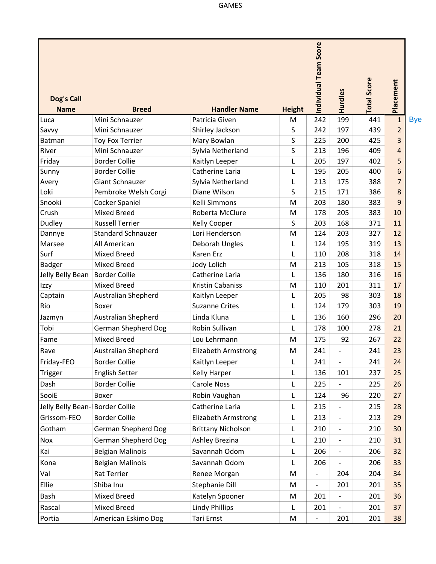| Dog's Call                      |                                  |                                       |               | Individual Team Score    | Hurdles                  | <b>Total Score</b> | Placement           |            |
|---------------------------------|----------------------------------|---------------------------------------|---------------|--------------------------|--------------------------|--------------------|---------------------|------------|
| <b>Name</b>                     | <b>Breed</b>                     | <b>Handler Name</b><br>Patricia Given | <b>Height</b> |                          |                          |                    |                     |            |
| Luca                            | Mini Schnauzer<br>Mini Schnauzer |                                       | M             | 242<br>242               | 199<br>197               | 441<br>439         | $\mathbf{1}$        | <b>Bye</b> |
| Savvy<br>Batman                 | <b>Toy Fox Terrier</b>           | Shirley Jackson<br>Mary Bowlan        | S<br>S        | 225                      | 200                      | 425                | $\overline{2}$<br>3 |            |
| River                           | Mini Schnauzer                   | Sylvia Netherland                     | S             | 213                      | 196                      | 409                | 4                   |            |
| Friday                          | <b>Border Collie</b>             | Kaitlyn Leeper                        | L             | 205                      | 197                      | 402                | 5                   |            |
| Sunny                           | <b>Border Collie</b>             | Catherine Laria                       | L             | 195                      | 205                      | 400                | 6                   |            |
| Avery                           | Giant Schnauzer                  | Sylvia Netherland                     | L             | 213                      | 175                      | 388                | $\overline{7}$      |            |
| Loki                            | Pembroke Welsh Corgi             | Diane Wilson                          | S             | 215                      | 171                      | 386                | 8                   |            |
| Snooki                          | <b>Cocker Spaniel</b>            | Kelli Simmons                         | M             | 203                      | 180                      | 383                | 9                   |            |
| Crush                           | <b>Mixed Breed</b>               | Roberta McClure                       | M             | 178                      | 205                      | 383                | 10                  |            |
| Dudley                          | <b>Russell Terrier</b>           | Kelly Cooper                          | S             | 203                      | 168                      | 371                | 11                  |            |
| Dannye                          | <b>Standard Schnauzer</b>        | Lori Henderson                        | M             | 124                      | 203                      | 327                | 12                  |            |
| Marsee                          | All American                     | Deborah Ungles                        | L             | 124                      | 195                      | 319                | 13                  |            |
| Surf                            | <b>Mixed Breed</b>               | Karen Erz                             | L             | 110                      | 208                      | 318                | 14                  |            |
| <b>Badger</b>                   | <b>Mixed Breed</b>               | Jody Lolich                           | M             | 213                      | 105                      | 318                | 15                  |            |
| Jelly Belly Bean                | <b>Border Collie</b>             | Catherine Laria                       | L             | 136                      | 180                      | 316                | 16                  |            |
| Izzy                            | <b>Mixed Breed</b>               | <b>Kristin Cabaniss</b>               | M             | 110                      | 201                      | 311                | 17                  |            |
| Captain                         | Australian Shepherd              | Kaitlyn Leeper                        | L             | 205                      | 98                       | 303                | 18                  |            |
| Rio                             | Boxer                            | <b>Suzanne Crites</b>                 | L             | 124                      | 179                      | 303                | 19                  |            |
| Jazmyn                          | Australian Shepherd              | Linda Kluna                           | L             | 136                      | 160                      | 296                | 20                  |            |
| Tobi                            | German Shepherd Dog              | Robin Sullivan                        | L             | 178                      | 100                      | 278                | 21                  |            |
| Fame                            | <b>Mixed Breed</b>               | Lou Lehrmann                          | M             | 175                      | 92                       | 267                | 22                  |            |
| Rave                            | <b>Australian Shepherd</b>       | <b>Elizabeth Armstrong</b>            | M             | 241                      |                          | 241                | 23                  |            |
| Friday-FEO                      | <b>Border Collie</b>             | Kaitlyn Leeper                        | L             | 241                      |                          | 241                | 24                  |            |
| Trigger                         | <b>English Setter</b>            | Kelly Harper                          | L             | 136                      | 101                      | 237                | 25                  |            |
| Dash                            | <b>Border Collie</b>             | <b>Carole Noss</b>                    | L             | 225                      | $\overline{\phantom{0}}$ | 225                | 26                  |            |
| SooiE                           | Boxer                            | Robin Vaughan                         | L             | 124                      | 96                       | 220                | 27                  |            |
| Jelly Belly Bean-FBorder Collie |                                  | Catherine Laria                       | L             | 215                      | $\overline{\phantom{0}}$ | 215                | 28                  |            |
| Grissom-FEO                     | <b>Border Collie</b>             | <b>Elizabeth Armstrong</b>            | L             | 213                      | $\overline{\phantom{0}}$ | 213                | 29                  |            |
| Gotham                          | German Shepherd Dog              | <b>Brittany Nicholson</b>             | L             | 210                      | $\overline{\phantom{0}}$ | 210                | 30                  |            |
| Nox                             | <b>German Shepherd Dog</b>       | Ashley Brezina                        |               | 210                      | $\overline{\phantom{0}}$ | 210                | 31                  |            |
|                                 |                                  |                                       | L             |                          |                          |                    |                     |            |
| Kai                             | <b>Belgian Malinois</b>          | Savannah Odom                         | L             | 206                      | $\overline{\phantom{0}}$ | 206                | 32                  |            |
| Kona                            | <b>Belgian Malinois</b>          | Savannah Odom                         | L             | 206                      | $\overline{\phantom{0}}$ | 206                | 33                  |            |
| Val                             | Rat Terrier                      | Renee Morgan                          | M             | $\overline{\phantom{a}}$ | 204                      | 204                | 34                  |            |
| Ellie                           | Shiba Inu                        | Stephanie Dill                        | M             | $\overline{\phantom{a}}$ | 201                      | 201                | 35                  |            |
| Bash                            | Mixed Breed                      | Katelyn Spooner                       | M             | 201                      | $\overline{\phantom{0}}$ | 201                | 36                  |            |
| Rascal                          | Mixed Breed                      | <b>Lindy Phillips</b>                 | L             | 201                      | $\overline{\phantom{0}}$ | 201                | 37                  |            |
| Portia                          | American Eskimo Dog              | Tari Ernst                            | M             | $\overline{\phantom{a}}$ | 201                      | 201                | 38                  |            |